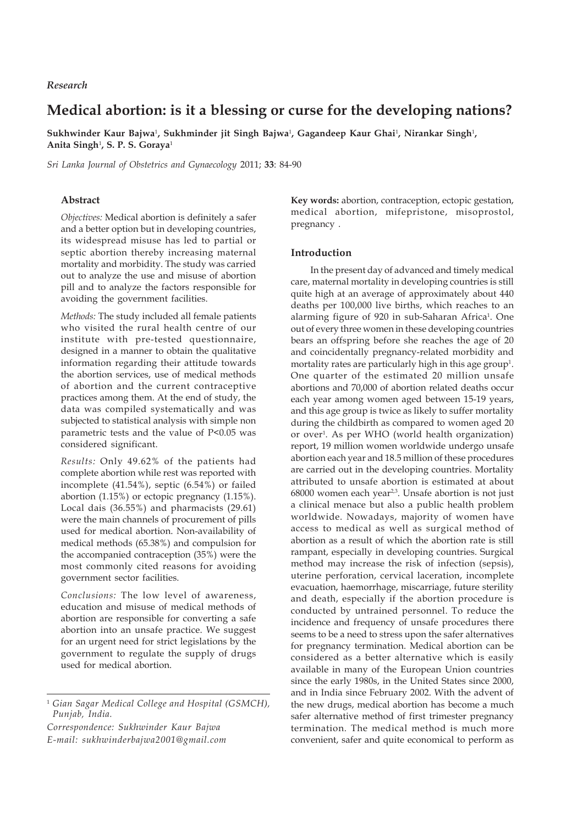# **Medical abortion: is it a blessing or curse for the developing nations?**

**Sukhwinder Kaur Bajwa**<sup>1</sup> **, Sukhminder jit Singh Bajwa**<sup>1</sup> **, Gagandeep Kaur Ghai**<sup>1</sup> **, Nirankar Singh**<sup>1</sup> **, Anita Singh**<sup>1</sup> **, S. P. S. Goraya**<sup>1</sup>

*Sri Lanka Journal of Obstetrics and Gynaecology* 2011; **33**: 84-90

## **Abstract**

*Objectives:* Medical abortion is definitely a safer and a better option but in developing countries, its widespread misuse has led to partial or septic abortion thereby increasing maternal mortality and morbidity. The study was carried out to analyze the use and misuse of abortion pill and to analyze the factors responsible for avoiding the government facilities.

*Methods:* The study included all female patients who visited the rural health centre of our institute with pre-tested questionnaire, designed in a manner to obtain the qualitative information regarding their attitude towards the abortion services, use of medical methods of abortion and the current contraceptive practices among them. At the end of study, the data was compiled systematically and was subjected to statistical analysis with simple non parametric tests and the value of P<0.05 was considered significant.

*Results:* Only 49.62% of the patients had complete abortion while rest was reported with incomplete (41.54%), septic (6.54%) or failed abortion (1.15%) or ectopic pregnancy (1.15%). Local dais (36.55%) and pharmacists (29.61) were the main channels of procurement of pills used for medical abortion. Non-availability of medical methods (65.38%) and compulsion for the accompanied contraception (35%) were the most commonly cited reasons for avoiding government sector facilities.

*Conclusions:* The low level of awareness, education and misuse of medical methods of abortion are responsible for converting a safe abortion into an unsafe practice. We suggest for an urgent need for strict legislations by the government to regulate the supply of drugs used for medical abortion.

*Correspondence: Sukhwinder Kaur Bajwa E-mail: sukhwinderbajwa2001@gmail.com*

**Key words:** abortion, contraception, ectopic gestation, medical abortion, mifepristone, misoprostol, pregnancy .

## **Introduction**

In the present day of advanced and timely medical care, maternal mortality in developing countries is still quite high at an average of approximately about 440 deaths per 100,000 live births, which reaches to an alarming figure of 920 in sub-Saharan Africa<sup>1</sup>. One out of every three women in these developing countries bears an offspring before she reaches the age of 20 and coincidentally pregnancy-related morbidity and mortality rates are particularly high in this age group<sup>1</sup>. One quarter of the estimated 20 million unsafe abortions and 70,000 of abortion related deaths occur each year among women aged between 15-19 years, and this age group is twice as likely to suffer mortality during the childbirth as compared to women aged 20 or over<sup>1</sup>. As per WHO (world health organization) report, 19 million women worldwide undergo unsafe abortion each year and 18.5 million of these procedures are carried out in the developing countries. Mortality attributed to unsafe abortion is estimated at about 68000 women each year2,3. Unsafe abortion is not just a clinical menace but also a public health problem worldwide. Nowadays, majority of women have access to medical as well as surgical method of abortion as a result of which the abortion rate is still rampant, especially in developing countries. Surgical method may increase the risk of infection (sepsis), uterine perforation, cervical laceration, incomplete evacuation, haemorrhage, miscarriage, future sterility and death, especially if the abortion procedure is conducted by untrained personnel. To reduce the incidence and frequency of unsafe procedures there seems to be a need to stress upon the safer alternatives for pregnancy termination. Medical abortion can be considered as a better alternative which is easily available in many of the European Union countries since the early 1980s, in the United States since 2000, and in India since February 2002. With the advent of the new drugs, medical abortion has become a much safer alternative method of first trimester pregnancy termination. The medical method is much more convenient, safer and quite economical to perform as

<sup>1</sup> *Gian Sagar Medical College and Hospital (GSMCH), Punjab, India.*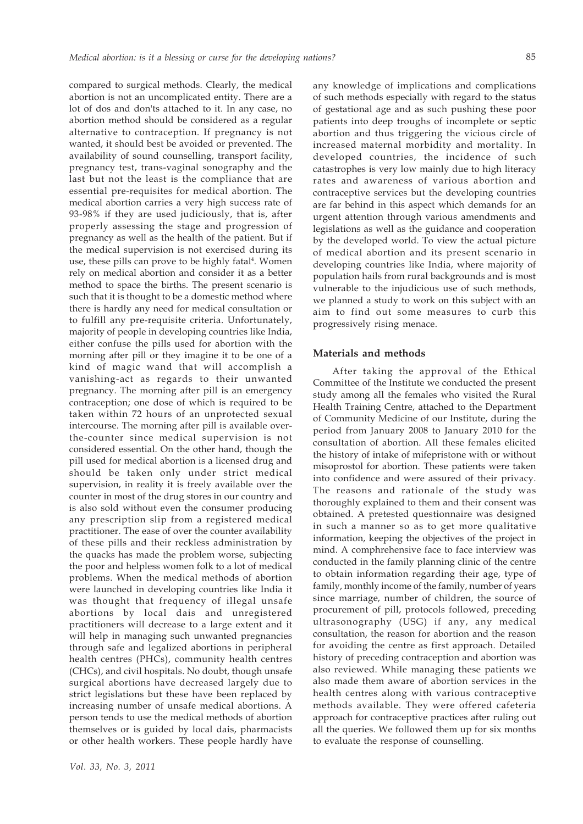compared to surgical methods. Clearly, the medical abortion is not an uncomplicated entity. There are a lot of dos and don'ts attached to it. In any case, no abortion method should be considered as a regular alternative to contraception. If pregnancy is not wanted, it should best be avoided or prevented. The availability of sound counselling, transport facility, pregnancy test, trans-vaginal sonography and the last but not the least is the compliance that are essential pre-requisites for medical abortion. The medical abortion carries a very high success rate of 93-98% if they are used judiciously, that is, after properly assessing the stage and progression of pregnancy as well as the health of the patient. But if the medical supervision is not exercised during its use, these pills can prove to be highly fatal<sup>4</sup>. Women rely on medical abortion and consider it as a better method to space the births. The present scenario is such that it is thought to be a domestic method where there is hardly any need for medical consultation or to fulfill any pre-requisite criteria. Unfortunately, majority of people in developing countries like India, either confuse the pills used for abortion with the morning after pill or they imagine it to be one of a kind of magic wand that will accomplish a vanishing-act as regards to their unwanted pregnancy. The morning after pill is an emergency contraception; one dose of which is required to be taken within 72 hours of an unprotected sexual intercourse. The morning after pill is available overthe-counter since medical supervision is not considered essential. On the other hand, though the pill used for medical abortion is a licensed drug and should be taken only under strict medical supervision, in reality it is freely available over the counter in most of the drug stores in our country and is also sold without even the consumer producing any prescription slip from a registered medical practitioner. The ease of over the counter availability of these pills and their reckless administration by the quacks has made the problem worse, subjecting the poor and helpless women folk to a lot of medical problems. When the medical methods of abortion were launched in developing countries like India it was thought that frequency of illegal unsafe abortions by local dais and unregistered practitioners will decrease to a large extent and it will help in managing such unwanted pregnancies through safe and legalized abortions in peripheral health centres (PHCs), community health centres (CHCs), and civil hospitals. No doubt, though unsafe surgical abortions have decreased largely due to strict legislations but these have been replaced by increasing number of unsafe medical abortions. A person tends to use the medical methods of abortion themselves or is guided by local dais, pharmacists or other health workers. These people hardly have

any knowledge of implications and complications of such methods especially with regard to the status of gestational age and as such pushing these poor patients into deep troughs of incomplete or septic abortion and thus triggering the vicious circle of increased maternal morbidity and mortality. In developed countries, the incidence of such catastrophes is very low mainly due to high literacy rates and awareness of various abortion and contraceptive services but the developing countries are far behind in this aspect which demands for an urgent attention through various amendments and legislations as well as the guidance and cooperation by the developed world. To view the actual picture of medical abortion and its present scenario in developing countries like India, where majority of population hails from rural backgrounds and is most vulnerable to the injudicious use of such methods, we planned a study to work on this subject with an aim to find out some measures to curb this progressively rising menace.

#### **Materials and methods**

After taking the approval of the Ethical Committee of the Institute we conducted the present study among all the females who visited the Rural Health Training Centre, attached to the Department of Community Medicine of our Institute, during the period from January 2008 to January 2010 for the consultation of abortion. All these females elicited the history of intake of mifepristone with or without misoprostol for abortion. These patients were taken into confidence and were assured of their privacy. The reasons and rationale of the study was thoroughly explained to them and their consent was obtained. A pretested questionnaire was designed in such a manner so as to get more qualitative information, keeping the objectives of the project in mind. A comphrehensive face to face interview was conducted in the family planning clinic of the centre to obtain information regarding their age, type of family, monthly income of the family, number of years since marriage, number of children, the source of procurement of pill, protocols followed, preceding ultrasonography (USG) if any, any medical consultation, the reason for abortion and the reason for avoiding the centre as first approach. Detailed history of preceding contraception and abortion was also reviewed. While managing these patients we also made them aware of abortion services in the health centres along with various contraceptive methods available. They were offered cafeteria approach for contraceptive practices after ruling out all the queries. We followed them up for six months to evaluate the response of counselling.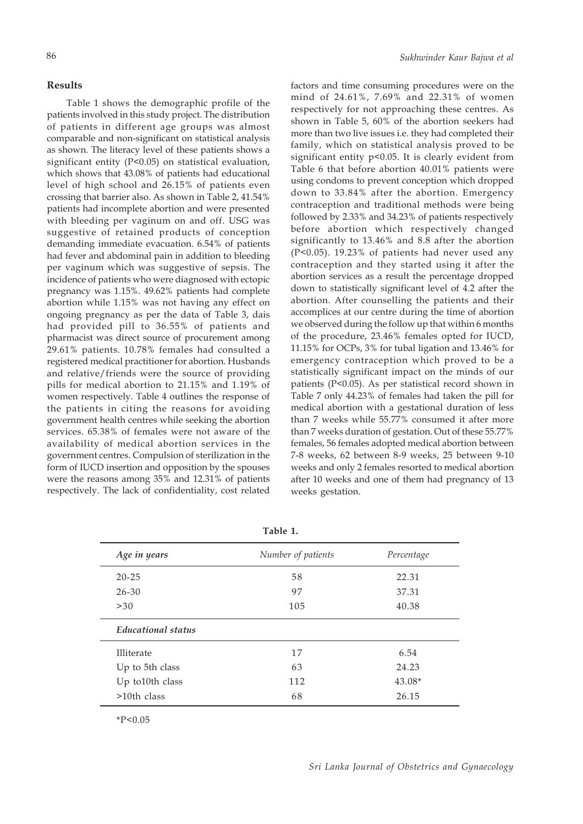# **Results**

Table 1 shows the demographic profile of the patients involved in this study project. The distribution of patients in different age groups was almost comparable and non-significant on statistical analysis as shown. The literacy level of these patients shows a significant entity (P<0.05) on statistical evaluation, which shows that 43.08% of patients had educational level of high school and 26.15% of patients even crossing that barrier also. As shown in Table 2, 41.54% patients had incomplete abortion and were presented with bleeding per vaginum on and off. USG was suggestive of retained products of conception demanding immediate evacuation. 6.54% of patients had fever and abdominal pain in addition to bleeding per vaginum which was suggestive of sepsis. The incidence of patients who were diagnosed with ectopic pregnancy was 1.15%. 49.62% patients had complete abortion while 1.15% was not having any effect on ongoing pregnancy as per the data of Table 3, dais had provided pill to 36.55% of patients and pharmacist was direct source of procurement among 29.61% patients. 10.78% females had consulted a registered medical practitioner for abortion. Husbands and relative/friends were the source of providing pills for medical abortion to 21.15% and 1.19% of women respectively. Table 4 outlines the response of the patients in citing the reasons for avoiding government health centres while seeking the abortion services. 65.38% of females were not aware of the availability of medical abortion services in the government centres. Compulsion of sterilization in the form of IUCD insertion and opposition by the spouses were the reasons among 35% and 12.31% of patients respectively. The lack of confidentiality, cost related

factors and time consuming procedures were on the mind of 24.61%, 7.69% and 22.31% of women respectively for not approaching these centres. As shown in Table 5, 60% of the abortion seekers had more than two live issues i.e. they had completed their family, which on statistical analysis proved to be significant entity p<0.05. It is clearly evident from Table 6 that before abortion 40.01% patients were using condoms to prevent conception which dropped down to 33.84% after the abortion. Emergency contraception and traditional methods were being followed by 2.33% and 34.23% of patients respectively before abortion which respectively changed significantly to 13.46% and 8.8 after the abortion (P<0.05). 19.23% of patients had never used any contraception and they started using it after the abortion services as a result the percentage dropped down to statistically significant level of 4.2 after the abortion. After counselling the patients and their accomplices at our centre during the time of abortion we observed during the follow up that within 6 months of the procedure, 23.46% females opted for IUCD, 11.15% for OCPs, 3% for tubal ligation and 13.46% for emergency contraception which proved to be a statistically significant impact on the minds of our patients (P<0.05). As per statistical record shown in Table 7 only 44.23% of females had taken the pill for medical abortion with a gestational duration of less than 7 weeks while 55.77% consumed it after more than 7 weeks duration of gestation. Out of these 55.77% females, 56 females adopted medical abortion between 7-8 weeks, 62 between 8-9 weeks, 25 between 9-10 weeks and only 2 females resorted to medical abortion after 10 weeks and one of them had pregnancy of 13 weeks gestation.

| Age in years              | Number of patients | Percentage |
|---------------------------|--------------------|------------|
| $20 - 25$                 | 58                 | 22.31      |
| $26 - 30$                 | 97                 | 37.31      |
| >30                       | 105                | 40.38      |
| <b>Educational status</b> |                    |            |
| Illiterate                | 17                 | 6.54       |
| Up to 5th class           | 63                 | 24.23      |
| Up to10th class           | 112                | $43.08*$   |
| $>10$ th class            | 68                 | 26.15      |

**Table 1.**

 $*P<0.05$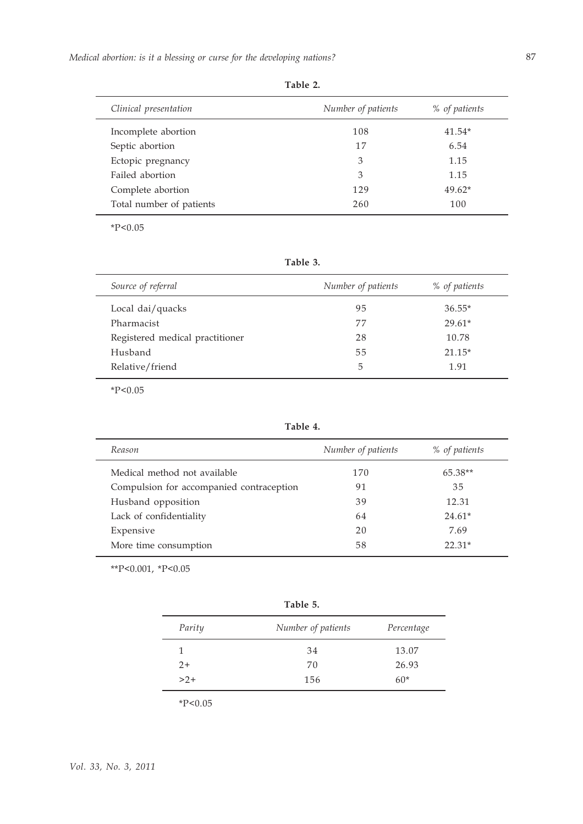| Clinical presentation    | Number of patients | % of patients |
|--------------------------|--------------------|---------------|
| Incomplete abortion      | 108                | $41.54*$      |
| Septic abortion          | 17                 | 6.54          |
| Ectopic pregnancy        | 3                  | 1.15          |
| Failed abortion          | 3                  | 1.15          |
| Complete abortion        | 129                | $49.62*$      |
| Total number of patients | 260                | 100           |

**Table 2.**

 $*P<0.05$ 

**Table 3.**

| Source of referral              | Number of patients | % of patients |
|---------------------------------|--------------------|---------------|
| Local dai/quacks                | 95                 | $36.55*$      |
| Pharmacist                      | 77                 | $29.61*$      |
| Registered medical practitioner | 28                 | 10.78         |
| Husband                         | 55                 | $21.15*$      |
| Relative/friend                 | 5                  | 1.91          |

 $*P<0.05$ 

**Table 4.**

| Reason                                   | Number of patients | % of patients |
|------------------------------------------|--------------------|---------------|
| Medical method not available             | 170                | $65.38**$     |
| Compulsion for accompanied contraception | 91                 | 35            |
| Husband opposition                       | 39                 | 12.31         |
| Lack of confidentiality                  | 64                 | $24.61*$      |
| Expensive                                | 20                 | 7.69          |
| More time consumption                    | 58                 | $22.31*$      |

\*\*P<0.001, \*P<0.05

| Table 5. |                    |            |
|----------|--------------------|------------|
| Parity   | Number of patients | Percentage |
| 1        | 34                 | 13.07      |
| $2+$     | 70                 | 26.93      |
| $>2+$    | 156                | $60*$      |

 $*P<0.05$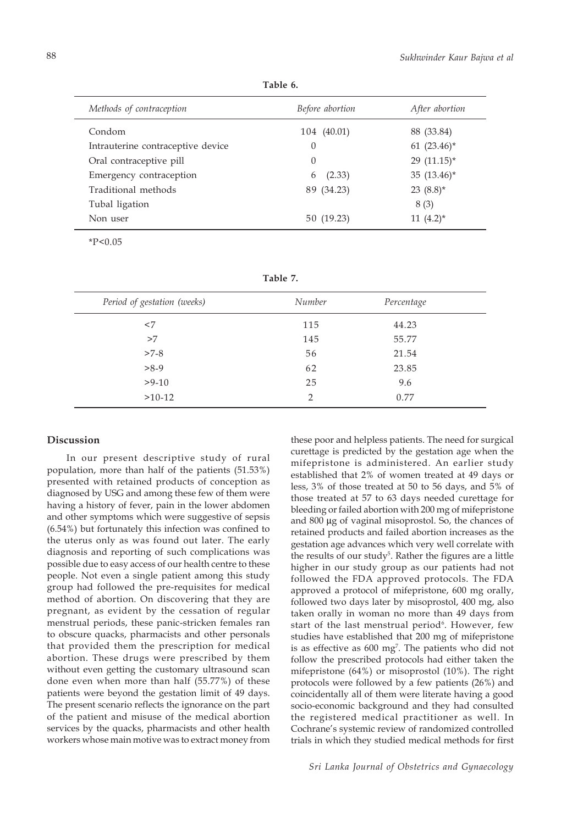**Table 6.**

| Methods of contraception          | Before abortion | After abortion |
|-----------------------------------|-----------------|----------------|
| Condom                            | 104 (40.01)     | 88 (33.84)     |
| Intrauterine contraceptive device | $\theta$        | 61 $(23.46)^*$ |
| Oral contraceptive pill           | $\Omega$        | 29 $(11.15)^*$ |
| Emergency contraception           | (2.33)<br>6     | 35 $(13.46)^*$ |
| Traditional methods               | 89 (34.23)      | 23 $(8.8)$ *   |
| Tubal ligation                    |                 | 8(3)           |
| Non user                          | 50 (19.23)      | $11(4.2)^*$    |

 $*P<0.05$ 

**Table 7.**

| Period of gestation (weeks) | Number        | Percentage |  |
|-----------------------------|---------------|------------|--|
| $<$ 7                       | 115           | 44.23      |  |
| >7                          | 145           | 55.77      |  |
| $>7-8$                      | 56            | 21.54      |  |
| $>8-9$                      | 62            | 23.85      |  |
| $>9-10$                     | 25            | 9.6        |  |
| $>10-12$                    | $\mathcal{P}$ | 0.77       |  |

# **Discussion**

In our present descriptive study of rural population, more than half of the patients (51.53%) presented with retained products of conception as diagnosed by USG and among these few of them were having a history of fever, pain in the lower abdomen and other symptoms which were suggestive of sepsis (6.54%) but fortunately this infection was confined to the uterus only as was found out later. The early diagnosis and reporting of such complications was possible due to easy access of our health centre to these people. Not even a single patient among this study group had followed the pre-requisites for medical method of abortion. On discovering that they are pregnant, as evident by the cessation of regular menstrual periods, these panic-stricken females ran to obscure quacks, pharmacists and other personals that provided them the prescription for medical abortion. These drugs were prescribed by them without even getting the customary ultrasound scan done even when more than half (55.77%) of these patients were beyond the gestation limit of 49 days. The present scenario reflects the ignorance on the part of the patient and misuse of the medical abortion services by the quacks, pharmacists and other health workers whose main motive was to extract money from

these poor and helpless patients. The need for surgical curettage is predicted by the gestation age when the mifepristone is administered. An earlier study established that 2% of women treated at 49 days or less, 3% of those treated at 50 to 56 days, and 5% of those treated at 57 to 63 days needed curettage for bleeding or failed abortion with 200 mg of mifepristone and 800 μg of vaginal misoprostol. So, the chances of retained products and failed abortion increases as the gestation age advances which very well correlate with the results of our study<sup>5</sup>. Rather the figures are a little higher in our study group as our patients had not followed the FDA approved protocols. The FDA approved a protocol of mifepristone, 600 mg orally, followed two days later by misoprostol, 400 mg, also taken orally in woman no more than 49 days from start of the last menstrual period<sup>6</sup>. However, few studies have established that 200 mg of mifepristone is as effective as 600 mg<sup>7</sup>. The patients who did not follow the prescribed protocols had either taken the mifepristone (64%) or misoprostol (10%). The right protocols were followed by a few patients (26%) and coincidentally all of them were literate having a good socio-economic background and they had consulted the registered medical practitioner as well. In Cochrane's systemic review of randomized controlled trials in which they studied medical methods for first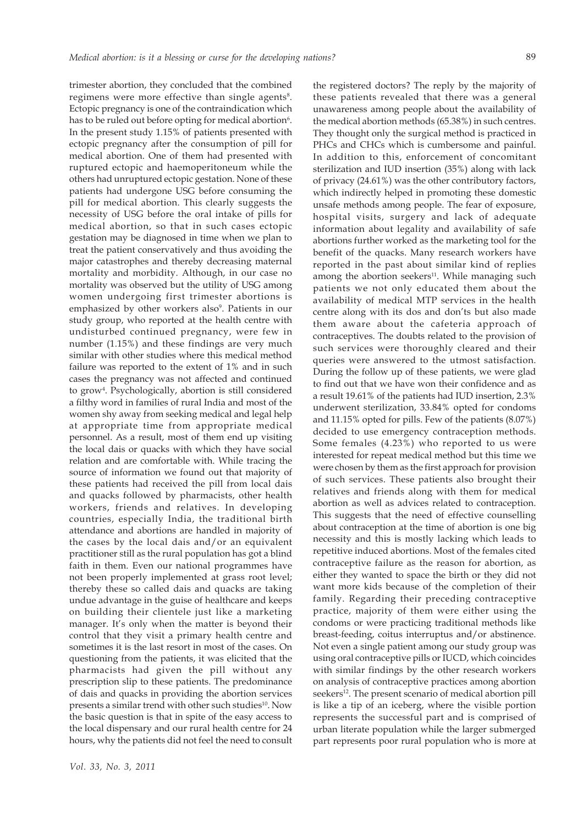89

trimester abortion, they concluded that the combined regimens were more effective than single agents<sup>8</sup>. Ectopic pregnancy is one of the contraindication which has to be ruled out before opting for medical abortion<sup>6</sup>. In the present study 1.15% of patients presented with ectopic pregnancy after the consumption of pill for medical abortion. One of them had presented with ruptured ectopic and haemoperitoneum while the others had unruptured ectopic gestation. None of these patients had undergone USG before consuming the pill for medical abortion. This clearly suggests the necessity of USG before the oral intake of pills for medical abortion, so that in such cases ectopic gestation may be diagnosed in time when we plan to treat the patient conservatively and thus avoiding the major catastrophes and thereby decreasing maternal mortality and morbidity. Although, in our case no mortality was observed but the utility of USG among women undergoing first trimester abortions is emphasized by other workers also<sup>9</sup>. Patients in our study group, who reported at the health centre with undisturbed continued pregnancy, were few in number (1.15%) and these findings are very much similar with other studies where this medical method failure was reported to the extent of 1% and in such cases the pregnancy was not affected and continued to grow<sup>4</sup>. Psychologically, abortion is still considered a filthy word in families of rural India and most of the women shy away from seeking medical and legal help at appropriate time from appropriate medical personnel. As a result, most of them end up visiting the local dais or quacks with which they have social relation and are comfortable with. While tracing the source of information we found out that majority of these patients had received the pill from local dais and quacks followed by pharmacists, other health workers, friends and relatives. In developing countries, especially India, the traditional birth attendance and abortions are handled in majority of the cases by the local dais and/or an equivalent practitioner still as the rural population has got a blind faith in them. Even our national programmes have not been properly implemented at grass root level; thereby these so called dais and quacks are taking undue advantage in the guise of healthcare and keeps on building their clientele just like a marketing manager. It's only when the matter is beyond their control that they visit a primary health centre and sometimes it is the last resort in most of the cases. On questioning from the patients, it was elicited that the pharmacists had given the pill without any prescription slip to these patients. The predominance of dais and quacks in providing the abortion services presents a similar trend with other such studies<sup>10</sup>. Now the basic question is that in spite of the easy access to the local dispensary and our rural health centre for 24 hours, why the patients did not feel the need to consult the registered doctors? The reply by the majority of these patients revealed that there was a general unawareness among people about the availability of the medical abortion methods (65.38%) in such centres. They thought only the surgical method is practiced in PHCs and CHCs which is cumbersome and painful. In addition to this, enforcement of concomitant sterilization and IUD insertion (35%) along with lack of privacy (24.61%) was the other contributory factors, which indirectly helped in promoting these domestic unsafe methods among people. The fear of exposure, hospital visits, surgery and lack of adequate information about legality and availability of safe abortions further worked as the marketing tool for the benefit of the quacks. Many research workers have reported in the past about similar kind of replies among the abortion seekers<sup>11</sup>. While managing such patients we not only educated them about the availability of medical MTP services in the health centre along with its dos and don'ts but also made them aware about the cafeteria approach of contraceptives. The doubts related to the provision of such services were thoroughly cleared and their queries were answered to the utmost satisfaction. During the follow up of these patients, we were glad to find out that we have won their confidence and as a result 19.61% of the patients had IUD insertion, 2.3% underwent sterilization, 33.84% opted for condoms and 11.15% opted for pills. Few of the patients (8.07%) decided to use emergency contraception methods. Some females (4.23%) who reported to us were interested for repeat medical method but this time we were chosen by them as the first approach for provision of such services. These patients also brought their relatives and friends along with them for medical abortion as well as advices related to contraception. This suggests that the need of effective counselling about contraception at the time of abortion is one big necessity and this is mostly lacking which leads to repetitive induced abortions. Most of the females cited contraceptive failure as the reason for abortion, as either they wanted to space the birth or they did not want more kids because of the completion of their family. Regarding their preceding contraceptive practice, majority of them were either using the condoms or were practicing traditional methods like breast-feeding, coitus interruptus and/or abstinence. Not even a single patient among our study group was using oral contraceptive pills or IUCD, which coincides with similar findings by the other research workers on analysis of contraceptive practices among abortion seekers<sup>12</sup>. The present scenario of medical abortion pill is like a tip of an iceberg, where the visible portion represents the successful part and is comprised of urban literate population while the larger submerged part represents poor rural population who is more at